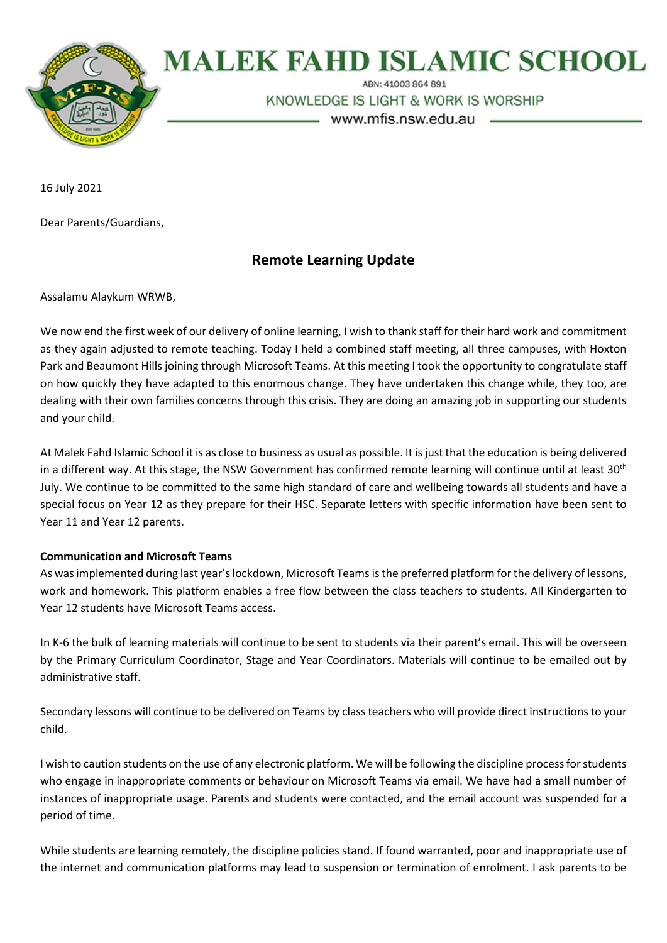

# **MALEK FAHD ISLAMIC SCHOOL**

ABN: 41003 864 891

KNOWLEDGE IS LIGHT & WORK IS WORSHIP

www.mfis.nsw.edu.au

16 July 2021

Dear Parents/Guardians,

## **Remote Learning Update**

Assalamu Alaykum WRWB,

We now end the first week of our delivery of online learning, I wish to thank staff for their hard work and commitment as they again adjusted to remote teaching. Today I held a combined staff meeting, all three campuses, with Hoxton Park and Beaumont Hills joining through Microsoft Teams. At this meeting I took the opportunity to congratulate staff on how quickly they have adapted to this enormous change. They have undertaken this change while, they too, are dealing with their own families concerns through this crisis. They are doing an amazing job in supporting our students and your child.

At Malek Fahd Islamic School it is as close to business as usual as possible. It isjust that the education is being delivered in a different way. At this stage, the NSW Government has confirmed remote learning will continue until at least 30<sup>th</sup> July. We continue to be committed to the same high standard of care and wellbeing towards all students and have a special focus on Year 12 as they prepare for their HSC. Separate letters with specific information have been sent to Year 11 and Year 12 parents.

#### **Communication and Microsoft Teams**

As was implemented during last year's lockdown, Microsoft Teams is the preferred platform for the delivery of lessons, work and homework. This platform enables a free flow between the class teachers to students. All Kindergarten to Year 12 students have Microsoft Teams access.

In K-6 the bulk of learning materials will continue to be sent to students via their parent's email. This will be overseen by the Primary Curriculum Coordinator, Stage and Year Coordinators. Materials will continue to be emailed out by administrative staff.

Secondary lessons will continue to be delivered on Teams by class teachers who will provide direct instructions to your child.

I wish to caution students on the use of any electronic platform. We will be following the discipline process for students who engage in inappropriate comments or behaviour on Microsoft Teams via email. We have had a small number of instances of inappropriate usage. Parents and students were contacted, and the email account was suspended for a period of time.

While students are learning remotely, the discipline policies stand. If found warranted, poor and inappropriate use of the internet and communication platforms may lead to suspension or termination of enrolment. I ask parents to be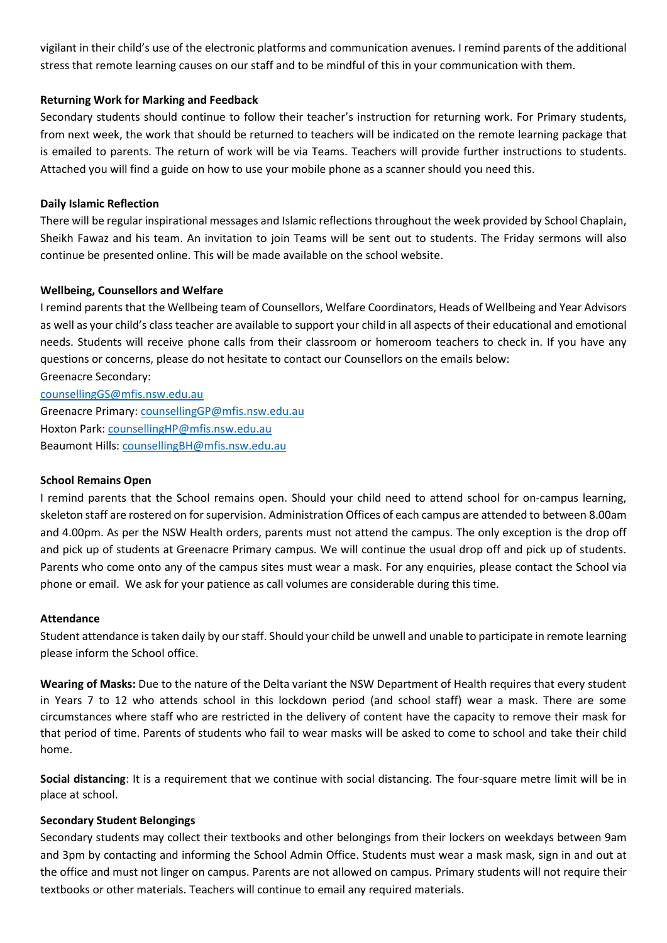vigilant in their child's use of the electronic platforms and communication avenues. I remind parents of the additional stress that remote learning causes on our staff and to be mindful of this in your communication with them.

## **Returning Work for Marking and Feedback**

Secondary students should continue to follow their teacher's instruction for returning work. For Primary students, from next week, the work that should be returned to teachers will be indicated on the remote learning package that is emailed to parents. The return of work will be via Teams. Teachers will provide further instructions to students. Attached you will find a guide on how to use your mobile phone as a scanner should you need this.

## **Daily Islamic Reflection**

There will be regular inspirational messages and Islamic reflections throughout the week provided by School Chaplain, Sheikh Fawaz and his team. An invitation to join Teams will be sent out to students. The Friday sermons will also continue be presented online. This will be made available on the school website.

## **Wellbeing, Counsellors and Welfare**

I remind parents that the Wellbeing team of Counsellors, Welfare Coordinators, Heads of Wellbeing and Year Advisors as well as your child's class teacher are available to support your child in all aspects of their educational and emotional needs. Students will receive phone calls from their classroom or homeroom teachers to check in. If you have any questions or concerns, please do not hesitate to contact our Counsellors on the emails below: Greenacre Secondary:

[counsellingGS@mfis.nsw.edu.au](mailto:counsellingGS@mfis.nsw.edu.au) Greenacre Primary[: counsellingGP@mfis.nsw.edu.au](mailto:counsellingGP@mfis.nsw.edu.au) Hoxton Park[: counsellingHP@mfis.nsw.edu.au](mailto:counsellingHP@mfis.nsw.edu.au) Beaumont Hills: [counsellingBH@mfis.nsw.edu.au](mailto:counsellingBH@mfis.nsw.edu.au)

## **School Remains Open**

I remind parents that the School remains open. Should your child need to attend school for on-campus learning, skeleton staff are rostered on for supervision. Administration Offices of each campus are attended to between 8.00am and 4.00pm. As per the NSW Health orders, parents must not attend the campus. The only exception is the drop off and pick up of students at Greenacre Primary campus. We will continue the usual drop off and pick up of students. Parents who come onto any of the campus sites must wear a mask. For any enquiries, please contact the School via phone or email. We ask for your patience as call volumes are considerable during this time.

#### **Attendance**

Student attendance is taken daily by our staff. Should your child be unwell and unable to participate in remote learning please inform the School office.

**Wearing of Masks:** Due to the nature of the Delta variant the NSW Department of Health requires that every student in Years 7 to 12 who attends school in this lockdown period (and school staff) wear a mask. There are some circumstances where staff who are restricted in the delivery of content have the capacity to remove their mask for that period of time. Parents of students who fail to wear masks will be asked to come to school and take their child home.

**Social distancing**: It is a requirement that we continue with social distancing. The four-square metre limit will be in place at school.

## **Secondary Student Belongings**

Secondary students may collect their textbooks and other belongings from their lockers on weekdays between 9am and 3pm by contacting and informing the School Admin Office. Students must wear a mask mask, sign in and out at the office and must not linger on campus. Parents are not allowed on campus. Primary students will not require their textbooks or other materials. Teachers will continue to email any required materials.